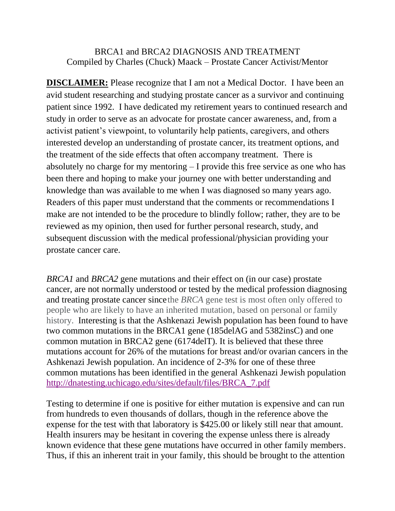## BRCA1 and BRCA2 DIAGNOSIS AND TREATMENT Compiled by Charles (Chuck) Maack – Prostate Cancer Activist/Mentor

**DISCLAIMER:** Please recognize that I am not a Medical Doctor. I have been an avid student researching and studying prostate cancer as a survivor and continuing patient since 1992. I have dedicated my retirement years to continued research and study in order to serve as an advocate for prostate cancer awareness, and, from a activist patient's viewpoint, to voluntarily help patients, caregivers, and others interested develop an understanding of prostate cancer, its treatment options, and the treatment of the side effects that often accompany treatment. There is absolutely no charge for my mentoring – I provide this free service as one who has been there and hoping to make your journey one with better understanding and knowledge than was available to me when I was diagnosed so many years ago. Readers of this paper must understand that the comments or recommendations I make are not intended to be the procedure to blindly follow; rather, they are to be reviewed as my opinion, then used for further personal research, study, and subsequent discussion with the medical professional/physician providing your prostate cancer care.

*BRCA1* and *BRCA2* gene mutations and their effect on (in our case) prostate cancer, are not normally understood or tested by the medical profession diagnosing and treating prostate cancer sincethe *BRCA* gene test is most often only offered to people who are likely to have an inherited mutation, based on personal or family history. Interesting is that the Ashkenazi Jewish population has been found to have two common mutations in the BRCA1 gene (185delAG and 5382insC) and one common mutation in BRCA2 gene (6174delT). It is believed that these three mutations account for 26% of the mutations for breast and/or ovarian cancers in the Ashkenazi Jewish population. An incidence of 2-3% for one of these three common mutations has been identified in the general Ashkenazi Jewish population [http://dnatesting.uchicago.edu/sites/default/files/BRCA\\_7.pdf](http://dnatesting.uchicago.edu/sites/default/files/BRCA_7.pdf)

Testing to determine if one is positive for either mutation is expensive and can run from hundreds to even thousands of dollars, though in the reference above the expense for the test with that laboratory is \$425.00 or likely still near that amount. Health insurers may be hesitant in covering the expense unless there is already known evidence that these gene mutations have occurred in other family members. Thus, if this an inherent trait in your family, this should be brought to the attention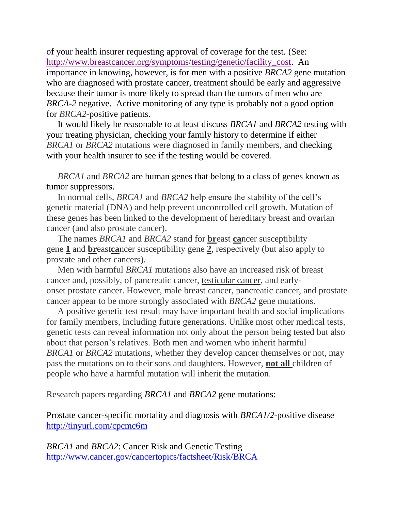of your health insurer requesting approval of coverage for the test. (See: [http://www.breastcancer.org/symptoms/testing/genetic/facility\\_cost.](http://www.breastcancer.org/symptoms/testing/genetic/facility_cost) An importance in knowing, however, is for men with a positive *BRCA2* gene mutation who are diagnosed with prostate cancer, treatment should be early and aggressive because their tumor is more likely to spread than the tumors of men who are *BRCA-2* negative. Active monitoring of any type is probably not a good option for *BRCA2-*positive patients.

 It would likely be reasonable to at least discuss *BRCA1* and *BRCA2* testing with your treating physician, checking your family history to determine if either *BRCA1* or *BRCA2* mutations were diagnosed in family members, and checking with your health insurer to see if the testing would be covered.

 *BRCA1* and *BRCA2* are human genes that belong to a class of genes known as tumor suppressors.

 In normal [cells,](http://www.cancer.gov/Common/PopUps/popDefinition.aspx?id=CDR0000046476&version=Patient&language=English) *BRCA1* and *BRCA2* help ensure the stability of the cell's genetic material [\(DNA\)](http://www.cancer.gov/Common/PopUps/popDefinition.aspx?id=CDR0000045671&version=Patient&language=English) and help prevent uncontrolled cell growth. Mutation of these genes has been linked to the development of hereditary breast and ovarian cancer (and also prostate cancer).

 The names *BRCA1* and *BRCA2* stand for **br**east **ca**ncer susceptibility gene **1** and **br**east**ca**ncer susceptibility gene **2**, respectively (but also apply to prostate and other cancers).

 Men with harmful *BRCA1* mutations also have an increased risk of breast cancer and, possibly, of pancreatic cancer, [testicular cancer,](http://www.cancer.gov/Common/PopUps/popDefinition.aspx?id=CDR0000445090&version=Patient&language=English) and earlyonset [prostate cancer.](http://www.cancer.gov/Common/PopUps/popDefinition.aspx?id=CDR0000445079&version=Patient&language=English) However, [male breast cancer,](http://www.cancer.gov/Common/PopUps/popDefinition.aspx?id=CDR0000445046&version=Patient&language=English) pancreatic cancer, and prostate cancer appear to be more strongly associated with *BRCA2* gene mutations.

 A positive genetic test result may have important health and social implications for family members, including future generations. Unlike most other medical tests, genetic tests can reveal information not only about the person being tested but also about that person's relatives. Both men and women who inherit harmful *BRCA1* or *BRCA2* mutations, whether they develop cancer themselves or not, may pass the mutations on to their sons and daughters. However, **not all** children of people who have a harmful mutation will inherit the mutation.

Research papers regarding *BRCA1* and *BRCA2* gene mutations:

[Prostate cancer-specific mortality and diagnosis with](http://prostatecancerinfolink.net/2013/04/11/prostate-cancer-specific-mortality-and-diagnosis-with-brca12-positive-disease/) *BRCA1/2*-positive disease <http://tinyurl.com/cpcmc6m>

*BRCA1* and *BRCA2*: Cancer Risk and Genetic Testing <http://www.cancer.gov/cancertopics/factsheet/Risk/BRCA>